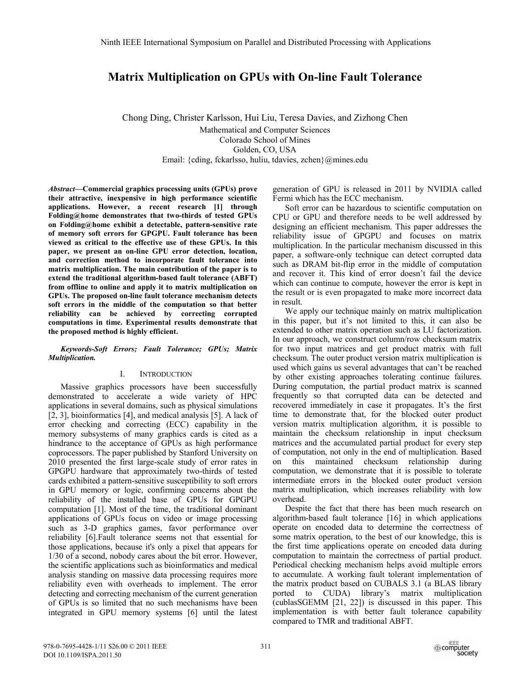# **Matrix Multiplication on GPUs with On-line Fault Tolerance**

Chong Ding, Christer Karlsson, Hui Liu, Teresa Davies, and Zizhong Chen Mathematical and Computer Sciences Colorado School of Mines Golden, CO, USA Email: {cding, fckarlsso, huliu, tdavies, zchen}@mines.edu

*Abstract***—Commercial graphics processing units (GPUs) prove their attractive, inexpensive in high performance scientific applications. However, a recent research [1] through Folding@home demonstrates that two-thirds of tested GPUs on Folding@home exhibit a detectable, pattern-sensitive rate of memory soft errors for GPGPU. Fault tolerance has been viewed as critical to the effective use of these GPUs. In this paper, we present an on-line GPU error detection, location, and correction method to incorporate fault tolerance into matrix multiplication. The main contribution of the paper is to extend the traditional algorithm-based fault tolerance (ABFT) from offline to online and apply it to matrix multiplication on GPUs. The proposed on-line fault tolerance mechanism detects soft errors in the middle of the computation so that better reliability can be achieved by correcting corrupted computations in time. Experimental results demonstrate that the proposed method is highly efficient.** 

*Keywords-Soft Errors; Fault Tolerance; GPUs; Matrix Multiplication.* 

# I. INTRODUCTION

Massive graphics processors have been successfully demonstrated to accelerate a wide variety of HPC applications in several domains, such as physical simulations [2, 3], bioinformatics [4], and medical analysis [5]. A lack of error checking and correcting (ECC) capability in the memory subsystems of many graphics cards is cited as a hindrance to the acceptance of GPUs as high performance coprocessors. The paper published by Stanford University on 2010 presented the first large-scale study of error rates in GPGPU hardware that approximately two-thirds of tested cards exhibited a pattern-sensitive susceptibility to soft errors in GPU memory or logic, confirming concerns about the reliability of the installed base of GPUs for GPGPU computation [1]. Most of the time, the traditional dominant applications of GPUs focus on video or image processing such as 3-D graphics games, favor performance over reliability [6].Fault tolerance seems not that essential for those applications, because it's only a pixel that appears for 1/30 of a second, nobody cares about the bit error. However, the scientific applications such as bioinformatics and medical analysis standing on massive data processing requires more reliability even with overheads to implement. The error detecting and correcting mechanism of the current generation of GPUs is so limited that no such mechanisms have been integrated in GPU memory systems [6] until the latest generation of GPU is released in 2011 by NVIDIA called Fermi which has the ECC mechanism.

Soft error can be hazardous to scientific computation on CPU or GPU and therefore needs to be well addressed by designing an efficient mechanism. This paper addresses the reliability issue of GPGPU and focuses on matrix multiplication. In the particular mechanism discussed in this paper, a software-only technique can detect corrupted data such as DRAM bit-flip error in the middle of computation and recover it. This kind of error doesn't fail the device which can continue to compute, however the error is kept in the result or is even propagated to make more incorrect data in result.

We apply our technique mainly on matrix multiplication in this paper, but it's not limited to this, it can also be extended to other matrix operation such as LU factorization. In our approach, we construct column/row checksum matrix for two input matrices and get product matrix with full checksum. The outer product version matrix multiplication is used which gains us several advantages that can't be reached by other existing approaches tolerating continue failures. During computation, the partial product matrix is scanned frequently so that corrupted data can be detected and recovered immediately in case it propagates. It's the first time to demonstrate that, for the blocked outer product version matrix multiplication algorithm, it is possible to maintain the checksum relationship in input checksum matrices and the accumulated partial product for every step of computation, not only in the end of multiplication. Based on this maintained checksum relationship during computation, we demonstrate that it is possible to tolerate intermediate errors in the blocked outer product version matrix multiplication, which increases reliability with low overhead.

Despite the fact that there has been much research on algorithm-based fault tolerance [16] in which applications operate on encoded data to determine the correctness of some matrix operation, to the best of our knowledge, this is the first time applications operate on encoded data during computation to maintain the correctness of partial product. Periodical checking mechanism helps avoid multiple errors to accumulate. A working fault tolerant implementation of the matrix product based on CUBALS 3.1 (a BLAS library ported to CUDA) library's matrix multiplication (cublasSGEMM [21, 22]) is discussed in this paper. This implementation is with better fault tolerance capability compared to TMR and traditional ABFT.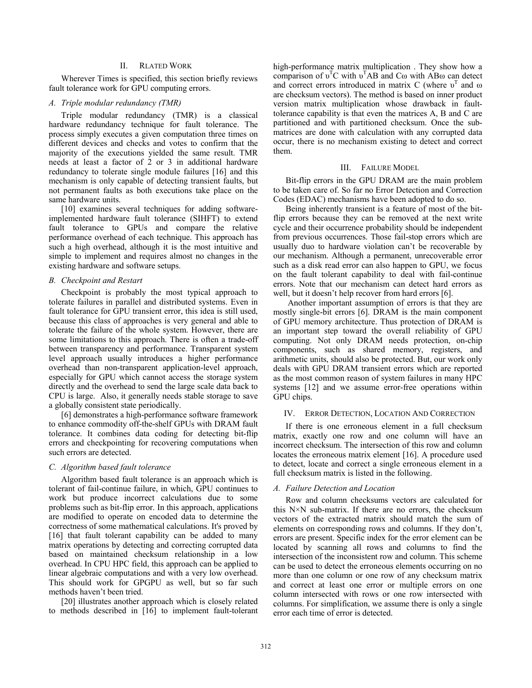# II. RLATED WORK

Wherever Times is specified, this section briefly reviews fault tolerance work for GPU computing errors.

#### *A. Triple modular redundancy (TMR)*

Triple modular redundancy (TMR) is a classical hardware redundancy technique for fault tolerance. The process simply executes a given computation three times on different devices and checks and votes to confirm that the majority of the executions yielded the same result. TMR needs at least a factor of 2 or 3 in additional hardware redundancy to tolerate single module failures [16] and this mechanism is only capable of detecting transient faults, but not permanent faults as both executions take place on the same hardware units.

[10] examines several techniques for adding softwareimplemented hardware fault tolerance (SIHFT) to extend fault tolerance to GPUs and compare the relative performance overhead of each technique. This approach has such a high overhead, although it is the most intuitive and simple to implement and requires almost no changes in the existing hardware and software setups.

## *B. Checkpoint and Restart*

Checkpoint is probably the most typical approach to tolerate failures in parallel and distributed systems. Even in fault tolerance for GPU transient error, this idea is still used, because this class of approaches is very general and able to tolerate the failure of the whole system. However, there are some limitations to this approach. There is often a trade-off between transparency and performance. Transparent system level approach usually introduces a higher performance overhead than non-transparent application-level approach, especially for GPU which cannot access the storage system directly and the overhead to send the large scale data back to CPU is large. Also, it generally needs stable storage to save a globally consistent state periodically.

[6] demonstrates a high-performance software framework to enhance commodity off-the-shelf GPUs with DRAM fault tolerance. It combines data coding for detecting bit-flip errors and checkpointing for recovering computations when such errors are detected.

# *C. Algorithm based fault tolerance*

Algorithm based fault tolerance is an approach which is tolerant of fail-continue failure, in which, GPU continues to work but produce incorrect calculations due to some problems such as bit-flip error. In this approach, applications are modified to operate on encoded data to determine the correctness of some mathematical calculations. It's proved by [16] that fault tolerant capability can be added to many matrix operations by detecting and correcting corrupted data based on maintained checksum relationship in a low overhead. In CPU HPC field, this approach can be applied to linear algebraic computations and with a very low overhead. This should work for GPGPU as well, but so far such methods haven't been tried.

[20] illustrates another approach which is closely related to methods described in [16] to implement fault-tolerant high-performance matrix multiplication . They show how a comparison of  $v^T C$  with  $v^T AB$  and  $C\omega$  with  $\overrightarrow{AB}\omega$  can detect and correct errors introduced in matrix C (where  $v^T$  and  $\omega$ are checksum vectors). The method is based on inner product version matrix multiplication whose drawback in faulttolerance capability is that even the matrices A, B and C are partitioned and with partitioned checksum. Once the submatrices are done with calculation with any corrupted data occur, there is no mechanism existing to detect and correct them.

## III. FAILURE MODEL

Bit-flip errors in the GPU DRAM are the main problem to be taken care of. So far no Error Detection and Correction Codes (EDAC) mechanisms have been adopted to do so.

Being inherently transient is a feature of most of the bitflip errors because they can be removed at the next write cycle and their occurrence probability should be independent from previous occurrences. Those fail-stop errors which are usually duo to hardware violation can't be recoverable by our mechanism. Although a permanent, unrecoverable error such as a disk read error can also happen to GPU, we focus on the fault tolerant capability to deal with fail-continue errors. Note that our mechanism can detect hard errors as well, but it doesn't help recover from hard errors [6].

 Another important assumption of errors is that they are mostly single-bit errors [6]. DRAM is the main component of GPU memory architecture. Thus protection of DRAM is an important step toward the overall reliability of GPU computing. Not only DRAM needs protection, on-chip components, such as shared memory, registers, and arithmetic units, should also be protected. But, our work only deals with GPU DRAM transient errors which are reported as the most common reason of system failures in many HPC systems [12] and we assume error-free operations within GPU chips.

### IV. ERROR DETECTION, LOCATION AND CORRECTION

If there is one erroneous element in a full checksum matrix, exactly one row and one column will have an incorrect checksum. The intersection of this row and column locates the erroneous matrix element [16]. A procedure used to detect, locate and correct a single erroneous element in a full checksum matrix is listed in the following.

#### *A. Failure Detection and Location*

Row and column checksums vectors are calculated for this N×N sub-matrix. If there are no errors, the checksum vectors of the extracted matrix should match the sum of elements on corresponding rows and columns. If they don't, errors are present. Specific index for the error element can be located by scanning all rows and columns to find the intersection of the inconsistent row and column. This scheme can be used to detect the erroneous elements occurring on no more than one column or one row of any checksum matrix and correct at least one error or multiple errors on one column intersected with rows or one row intersected with columns. For simplification, we assume there is only a single error each time of error is detected.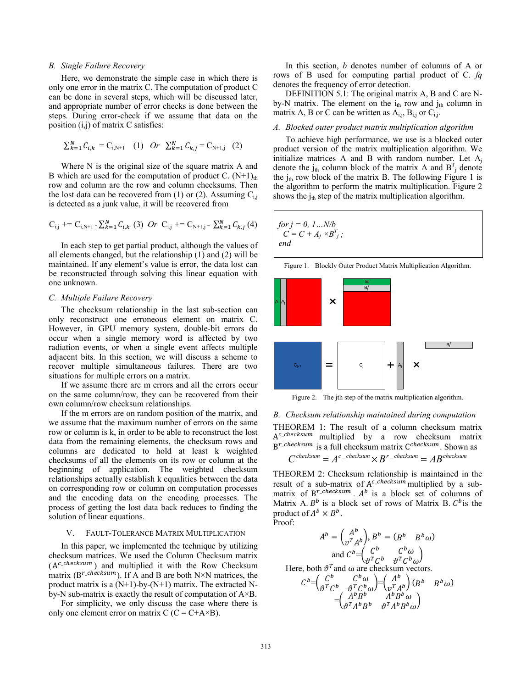#### *B. Single Failure Recovery*

Here, we demonstrate the simple case in which there is only one error in the matrix C. The computation of product C can be done in several steps, which will be discussed later, and appropriate number of error checks is done between the steps. During error-check if we assume that data on the position (i,j) of matrix C satisfies:

$$
\sum_{k=1}^{N} C_{i,k} = C_{i,N+1} \quad (1) \quad Or \quad \sum_{k=1}^{N} C_{k,j} = C_{N+1,j} \quad (2)
$$

Where N is the original size of the square matrix A and B which are used for the computation of product C.  $(N+1)_{th}$ row and column are the row and column checksums. Then the lost data can be recovered from (1) or (2). Assuming  $C_{i,j}$ is detected as a junk value, it will be recovered from

$$
C_{i,j} \mathrel{+}= C_{i,N+1} \text{-} \textstyle\sum_{k=1}^{N} C_{i,k} \text{ (3) } \text{ Or } C_{i,j} \mathrel{+}= C_{N+1,j} \text{-} \textstyle\sum_{k=1}^{N} C_{k,j} \text{ (4) }
$$

In each step to get partial product, although the values of all elements changed, but the relationship (1) and (2) will be maintained. If any element's value is error, the data lost can be reconstructed through solving this linear equation with one unknown.

#### *C. Multiple Failure Recovery*

The checksum relationship in the last sub-section can only reconstruct one erroneous element on matrix C. However, in GPU memory system, double-bit errors do occur when a single memory word is affected by two radiation events, or when a single event affects multiple adjacent bits. In this section, we will discuss a scheme to recover multiple simultaneous failures. There are two situations for multiple errors on a matrix.

If we assume there are m errors and all the errors occur on the same column/row, they can be recovered from their own column/row checksum relationships.

If the m errors are on random position of the matrix, and we assume that the maximum number of errors on the same row or column is k, in order to be able to reconstruct the lost data from the remaining elements, the checksum rows and columns are dedicated to hold at least k weighted checksums of all the elements on its row or column at the beginning of application. The weighted checksum relationships actually establish k equalities between the data on corresponding row or column on computation processes and the encoding data on the encoding processes. The process of getting the lost data back reduces to finding the solution of linear equations.

#### V. FAULT-TOLERANCE MATRIX MULTIPLICATION

In this paper, we implemented the technique by utilizing checksum matrices. We used the Column Checksum matrix  $(A^{c\_checksum})$  and multiplied it with the Row Checksum matrix (B<sup>r\_checksum</sup>). If A and B are both N×N matrices, the product matrix is a  $(N+1)$ -by- $(N+1)$  matrix. The extracted Nby-N sub-matrix is exactly the result of computation of A×B.

For simplicity, we only discuss the case where there is only one element error on matrix  $C$  ( $C = C+A \times B$ ).

In this section, *b* denotes number of columns of A or rows of B used for computing partial product of C. *fq* denotes the frequency of error detection.

DEFINITION 5.1: The original matrix A, B and C are Nby-N matrix. The element on the  $i_{th}$  row and  $j_{th}$  column in matrix A, B or C can be written as  $A_{i,j}$ ,  $B_{i,j}$  or  $C_{i,j}$ .

#### *A. Blocked outer product matrix multiplication algorithm*

To achieve high performance, we use is a blocked outer product version of the matrix multiplication algorithm. We initialize matrices A and B with random number. Let  $A_i$ denote the  $j_{th}$  column block of the matrix A and  $B_{j}^{T}$  denote the  $j<sub>th</sub>$  row block of the matrix B. The following Figure 1 is the algorithm to perform the matrix multiplication. Figure 2 shows the  $j_{th}$  step of the matrix multiplication algorithm.

for 
$$
j = 0, 1...N/b
$$
  
\n $C = C + A_j \times B^T$   
\n*end*

Figure 1. Blockly Outer Product Matrix Multiplication Algorithm.



Figure 2. The jth step of the matrix multiplication algorithm.

## *B. Checksum relationship maintained during computation*

THEOREM 1: The result of a column checksum matrix  $A^{c\_checksum}$  multiplied by a row checksum matrix  $B<sup>r_c</sup>$ *checksum* is a full checksum matrix  $C<sup>checksum</sup>$ . Shown as

$$
C^{checksum} = A^{c_{\text{-}checksum}} \times B^{r_{\text{-}checksum}} = AB^{checksum}
$$

THEOREM 2: Checksum relationship is maintained in the result of a sub-matrix of  $A^{c\_check sum}$  multiplied by a submatrix of  $B^r$ <sup>-checksum</sup>.  $A^b$  is a block set of columns of Matrix A.  $B^b$  is a block set of rows of Matrix B.  $C^b$  is the product of  $A^b \times B^b$ .

Proof:

$$
A^{b} = \begin{pmatrix} A^{b} \\ v^{T} A^{b} \end{pmatrix}, B^{b} = (B^{b} \quad B^{b} \omega)
$$
  
and  $C^{b} = \begin{pmatrix} C^{b} & C^{b} \omega \\ v^{T} C^{b} & v^{T} C^{b} \omega \end{pmatrix}$ 

Here, both  $\vartheta^T$  and  $\omega$  are checksum vectors.

$$
C^{b} = \begin{pmatrix} C^{b} & C^{b} \omega \\ \vartheta^{T} C^{b} & \vartheta^{T} C^{b} \omega \end{pmatrix} = \begin{pmatrix} A^{b} \\ \vartheta^{T} A^{b} \end{pmatrix} (B^{b} & B^{b} \omega) = \begin{pmatrix} A^{b} B^{b} & A^{b} B^{b} \omega \\ \vartheta^{T} A^{b} B^{b} & \vartheta^{T} A^{b} B^{b} \omega \end{pmatrix}
$$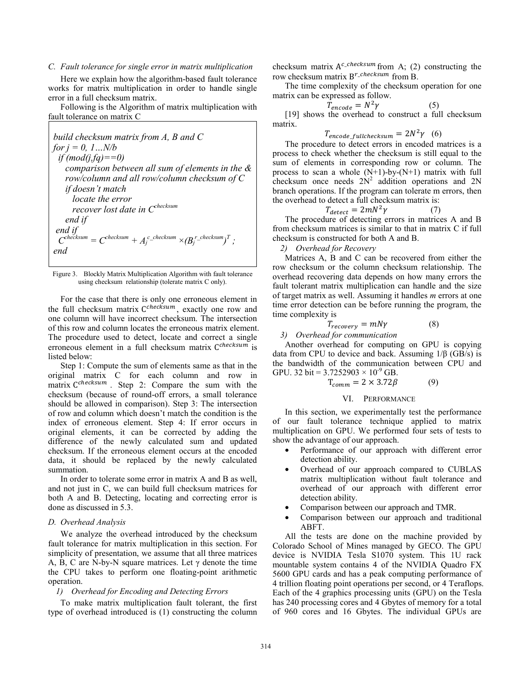# *C. Fault tolerance for single error in matrix multiplication*

Here we explain how the algorithm-based fault tolerance works for matrix multiplication in order to handle single error in a full checksum matrix.

Following is the Algorithm of matrix multiplication with fault tolerance on matrix C

```
build checksum matrix from A, B and C 
for j = 0, 1…N/b 
  if (mod(j,fq)==0) 
    comparison between all sum of elements in the &
     row/column and all row/column checksum of C 
     if doesn't match 
       locate the error 
       recover lost date in Cchecksum
    end if 
 end if 
C^{thecksum} = C^{hecksum} + A_j^c<sup>-checksum</sup> \times (B_j^r<sup>-checksum</sup>)<sup>T</sup>;
end
```
Figure 3. Blockly Matrix Multiplication Algorithm with fault tolerance using checksum relationship (tolerate matrix C only).

For the case that there is only one erroneous element in the full checksum matrix C<sup>checksum</sup>, exactly one row and one column will have incorrect checksum. The intersection of this row and column locates the erroneous matrix element. The procedure used to detect, locate and correct a single erroneous element in a full checksum matrix C<sup>checksum</sup> is listed below:

Step 1: Compute the sum of elements same as that in the original matrix C for each column and row in matrix  $C^{checksum}$ . Step 2: Compare the sum with the checksum (because of round-off errors, a small tolerance should be allowed in comparison). Step 3: The intersection of row and column which doesn't match the condition is the index of erroneous element. Step 4: If error occurs in original elements, it can be corrected by adding the difference of the newly calculated sum and updated checksum. If the erroneous element occurs at the encoded data, it should be replaced by the newly calculated summation.

In order to tolerate some error in matrix A and B as well, and not just in C, we can build full checksum matrices for both A and B. Detecting, locating and correcting error is done as discussed in 5.3.

#### *D. Overhead Analysis*

We analyze the overhead introduced by the checksum fault tolerance for matrix multiplication in this section. For simplicity of presentation, we assume that all three matrices A, B, C are N-by-N square matrices. Let  $\gamma$  denote the time the CPU takes to perform one floating-point arithmetic operation.

# *1) Overhead for Encoding and Detecting Errors*

To make matrix multiplication fault tolerant, the first type of overhead introduced is (1) constructing the column checksum matrix  $A^{c\_checksum}$  from A; (2) constructing the row checksum matrix  $B^{r\_checksum}$  from B.

The time complexity of the checksum operation for one matrix can be expressed as follow.

$$
\hat{T}_{encode} = N^2 \gamma \tag{5}
$$

[19] shows the overhead to construct a full checksum matrix.

 $T_{encode fullcheck sum} = 2N^2\gamma$  (6)

The procedure to detect errors in encoded matrices is a process to check whether the checksum is still equal to the sum of elements in corresponding row or column. The process to scan a whole  $(N+1)$ -by- $(N+1)$  matrix with full checksum once needs  $2N^2$  addition operations and  $2N$ branch operations. If the program can tolerate m errors, then the overhead to detect a full checksum matrix is:

$$
T_{detect} = 2mN^2\gamma \tag{7}
$$

The procedure of detecting errors in matrices A and B from checksum matrices is similar to that in matrix C if full checksum is constructed for both A and B.

*2) Overhead for Recovery* 

Matrices A, B and C can be recovered from either the row checksum or the column checksum relationship. The overhead recovering data depends on how many errors the fault tolerant matrix multiplication can handle and the size of target matrix as well. Assuming it handles *m* errors at one time error detection can be before running the program, the time complexity is

$$
T_{recovery} = mN\gamma \tag{8}
$$

*3) Overhead for communication* 

Another overhead for computing on GPU is copying data from CPU to device and back. Assuming  $1/\beta$  (GB/s) is the bandwidth of the communication between CPU and GPU. 32 bit =  $3.7252903 \times 10^{-9}$  GB.

$$
T_{comm} = 2 \times 3.72\beta \tag{9}
$$

#### VI. PERFORMANCE

In this section, we experimentally test the performance of our fault tolerance technique applied to matrix multiplication on GPU. We performed four sets of tests to show the advantage of our approach.

- Performance of our approach with different error detection ability.
- Overhead of our approach compared to CUBLAS matrix multiplication without fault tolerance and overhead of our approach with different error detection ability.
- Comparison between our approach and TMR.
- Comparison between our approach and traditional ABFT.

All the tests are done on the machine provided by Colorado School of Mines managed by GECO. The GPU device is NVIDIA Tesla S1070 system. This 1U rack mountable system contains 4 of the NVIDIA Quadro FX 5600 GPU cards and has a peak computing performance of 4 trillion floating point operations per second, or 4 Teraflops. Each of the 4 graphics processing units (GPU) on the Tesla has 240 processing cores and 4 Gbytes of memory for a total of 960 cores and 16 Gbytes. The individual GPUs are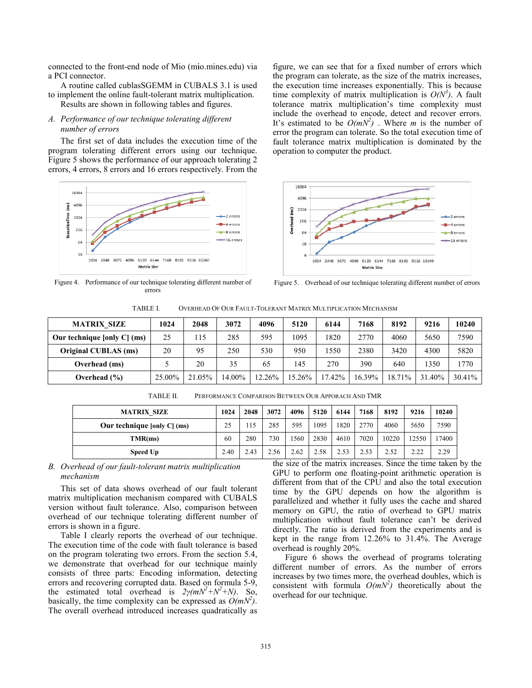connected to the front-end node of Mio (mio.mines.edu) via a PCI connector.

A routine called cublasSGEMM in CUBALS 3.1 is used to implement the online fault-tolerant matrix multiplication.

Results are shown in following tables and figures.

# A. Performance of our technique tolerating different *number of errors*

The first set of data includes the execution time of the program tolerating different errors using g our technique. Figure 5 shows the performance of our approach tolerating 2 errors, 4 errors, 8 errors and 16 errors respectively. From the



Figure 4. Performance of our technique tolerating different number of errors

figure, we can see that for a fixed number of errors which the program can tolerate, as the size of the matrix increases, the execution time increases exponentially. This is because time complexity of matrix multiplication is  $O(N^3)$ . A fault tolerance matrix multiplication's time complexity must include the overhead to encode, d etect and recover errors. It's estimated to be  $O(mN^2)$ . Wh error the program can tolerate. So th fault tolerance matrix multiplication is dominated by the operation to computer the product. here *m* is the number of he total execution time of



different number of Figure 5. Overhead of our technique tolerating different number of errors

TABLE I. HEAD OF OUR FAULT-TOLERANT MATRIX MULTIPLICATION MECHANISM M

| <b>MATRIX SIZE</b>          | 1024   | 2048   | 3072   | 4096   | 5120      | 6144      | 7168      | 8192   | 9216   | 10240  |
|-----------------------------|--------|--------|--------|--------|-----------|-----------|-----------|--------|--------|--------|
| Our technique [only C] (ms) | 25     | 115    | 285    | 595    | 1095      | 1820      | 2770      | 4060   | 5650   | 7590   |
| Original CUBLAS (ms)        | 20     | 95     | 250    | 530    | 950       | 1550      | 2380      | 3420   | 4300   | 5820   |
| Overhead (ms)               |        | 20     | 35     | 65     | 145       | 270       | 390       | 640    | 1350   | 1770   |
| Overhead $(\% )$            | 25.00% | 21.05% | 14.00% | 12.26% | $15.26\%$ | $17.42\%$ | $16.39\%$ | 18.71% | 31.40% | 30.41% |

TABLE II. PERFORMANCE COMPARISON BETWEEN OUR APPORACH AND TMR

| <b>MATRIX SIZE</b>          |      | 2048 | 3072 | 4096 | 5120 | 6144 | 7168 | 8192  | 9216  | 10240 |
|-----------------------------|------|------|------|------|------|------|------|-------|-------|-------|
| Our technique [only C] (ms) |      | 115  | 285  | 595  | 1095 | 820  | 2770 | 4060  | 5650  | 7590  |
| TMR(ms)                     | 60   | 280  | 730  | 560  | 2830 | 4610 | 7020 | 10220 | 12550 | 7400  |
| Speed Up                    | 2.40 | 2.43 | 2.56 | 2.62 | 2.58 | 2.53 | 2.53 | 2.52  | 2.22  | 2.29  |

## *B. Overhead of our fault-tolerant matrix m ultiplication mechanism*

This set of data shows overhead of our fault tolerant matrix multiplication mechanism compared d with CUBALS version without fault tolerance. Also, comparison between overhead of our technique tolerating different number of errors is shown in a figure.

Table I clearly reports the overhead of our technique. The execution time of the code with fault tolerance is based on the program tolerating two errors. From the section 5.4, we demonstrate that overhead for our technique mainly consists of three parts: Encoding information, detecting errors and recovering corrupted data. Based on formula 5-9, the estimated total overhead is  $2\gamma(mN^2+N^2+N)$ . So, basically, the time complexity can be expressed as  $O(mN^2)$ . The overall overhead introduced increases quadratically as

the size of the matrix increases. Since the time taken by the GPU to perform one floating-point arithmetic operation is different from that of the CPU and also the total execution time by the GPU depends on how the algorithm is parallelized and whether it fully us ses the cache and shared memory on GPU, the ratio of overhead to GPU matrix multiplication without fault tolerance can't be derived directly. The ratio is derived from the experiments and is kept in the range from 12.26% t to 31.4%. The Average overhead is roughly 20%.

Figure 6 shows the overhead of programs tolerating different number of errors. As the number of errors increases by two times more, the overhead doubles, which is consistent with formula  $O(mN^2)$  theoretically about the overhead for our technique.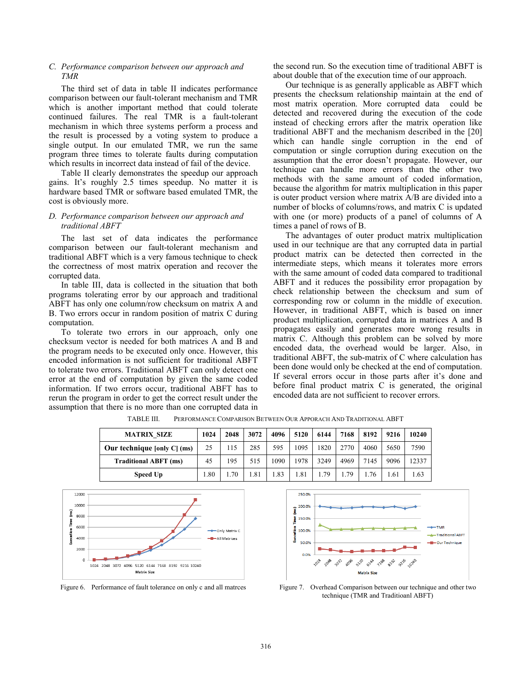# *C. Performance comparison between our approach and TMR*

The third set of data in table II indicates performance comparison between our fault-tolerant mechanism and TMR which is another important method that could tolerate continued failures. The real TMR is a fault-tolerant mechanism in which three systems perform a process and the result is processed by a voting system to produce a single output. In our emulated TMR, we run the same program three times to tolerate faults during computation which results in incorrect data instead of fail of the device.

Table II clearly demonstrates the speedup our approach gains. It's roughly 2.5 times speedup. No matter it is hardware based TMR or software based emulated TMR, the cost is obviously more.

# *D. Performance comparison between our approach and traditional ABFT*

The last set of data indicates the performance comparison between our fault-tolerant mechanism and traditional ABFT which is a very famous technique to check the correctness of most matrix operation and recover the corrupted data.

In table III, data is collected in the situation that both programs tolerating error by our approach and traditional ABFT has only one column/row checksum on matrix A and B. Two errors occur in random position of matrix C during computation.

To tolerate two errors in our approach, only one checksum vector is needed for both matrices A and B and the program needs to be executed only once. However, this encoded information is not sufficient for traditional ABFT to tolerate two errors. Traditional ABFT can only detect one error at the end of computation by given the same coded information. If two errors occur, traditional ABFT has to rerun the program in order to get the correct result under the assumption that there is no more than one corrupted data in the second run. So the execution time of traditional ABFT is about double that of the execution time of our approach.

Our technique is as generally applicable as ABFT which presents the checksum relationship maintain at the end of most matrix operation. More corrupted data could be detected and recovered during the execution of the code instead of checking errors after the matrix operation like traditional ABFT and the mechanism described in the [20] which can handle single corruption in the end of computation or single corruption during execution on the assumption that the error doesn't propagate. However, our technique can handle more errors than the other two methods with the same amount of coded information, because the algorithm for matrix multiplication in this paper is outer product version where matrix A/B are divided into a number of blocks of columns/rows, and matrix C is updated with one (or more) products of a panel of columns of A times a panel of rows of B.

The advantages of outer product matrix multiplication used in our technique are that any corrupted data in partial product matrix can be detected then corrected in the intermediate steps, which means it tolerates more errors with the same amount of coded data compared to traditional ABFT and it reduces the possibility error propagation by check relationship between the checksum and sum of corresponding row or column in the middle of execution. However, in traditional ABFT, which is based on inner product multiplication, corrupted data in matrices A and B propagates easily and generates more wrong results in matrix C. Although this problem can be solved by more encoded data, the overhead would be larger. Also, in traditional ABFT, the sub-matrix of C where calculation has been done would only be checked at the end of computation. If several errors occur in those parts after it's done and before final product matrix C is generated, the original encoded data are not sufficient to recover errors.

| <b>MATRIX SIZE</b>           | 1024 | 2048 | 3072 | 4096 | 5120 | 6144 | 7168   | 8192 | 9216 | 10240 |
|------------------------------|------|------|------|------|------|------|--------|------|------|-------|
| Our technique [only C] (ms)  | 25   | 115  | 285  | 595  | 095  | 1820 | 2770   | 4060 | 5650 | 7590  |
| <b>Traditional ABFT</b> (ms) | 45   | 195  | 515  | 1090 | 1978 | 3249 | 4969   | 7145 | 9096 | 12337 |
| Speed Up                     | 1.80 | .70  | . 81 | .83  | 1.81 | .79  | . . 79 | .76  | 1.61 | 1.63  |

TABLE III. PERFORMANCE COMPARISON BETWEEN OUR APPORACH AND TRADITIONAL ABFT





Figure 6. Performance of fault tolerance on only c and all matrces Figure 7. Overhead Comparison between our technique and other two technique (TMR and Traditioanl ABFT)